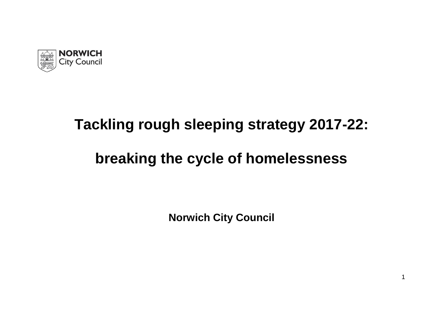

# **Tackling rough sleeping strategy 2017-22:**

# **breaking the cycle of homelessness**

**Norwich City Council**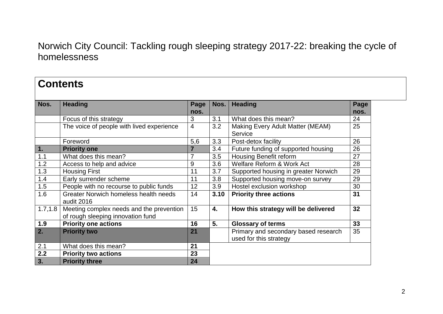| <b>Contents</b>  |                                                                               |                |      |                                                                |              |
|------------------|-------------------------------------------------------------------------------|----------------|------|----------------------------------------------------------------|--------------|
| Nos.             | <b>Heading</b>                                                                | Page<br>nos.   | Nos. | <b>Heading</b>                                                 | Page<br>nos. |
|                  | Focus of this strategy                                                        | 3              | 3.1  | What does this mean?                                           | 24           |
|                  | The voice of people with lived experience                                     | $\overline{4}$ | 3.2  | Making Every Adult Matter (MEAM)<br>Service                    | 25           |
|                  | Foreword                                                                      | 5,6            | 3.3  | Post-detox facility                                            | 26           |
| 1.               | <b>Priority one</b>                                                           | $\overline{7}$ | 3.4  | Future funding of supported housing                            | 26           |
| 1.1              | What does this mean?                                                          | $\overline{7}$ | 3.5  | Housing Benefit reform                                         | 27           |
| 1.2              | Access to help and advice                                                     | 9              | 3.6  | Welfare Reform & Work Act                                      | 28           |
| 1.3              | <b>Housing First</b>                                                          | 11             | 3.7  | Supported housing in greater Norwich                           | 29           |
| 1.4              | Early surrender scheme                                                        | 11             | 3.8  | Supported housing move-on survey                               | 29           |
| 1.5              | People with no recourse to public funds                                       | 12             | 3.9  | Hostel exclusion workshop                                      | 30           |
| 1.6              | Greater Norwich homeless health needs<br>audit 2016                           | 14             | 3.10 | <b>Priority three actions</b>                                  | 31           |
| 1.7, 1.8         | Meeting complex needs and the prevention<br>of rough sleeping innovation fund | 15             | 4.   | How this strategy will be delivered                            | 32           |
| 1.9              | <b>Priority one actions</b>                                                   | 16             | 5.   | <b>Glossary of terms</b>                                       | 33           |
| $\overline{2}$ . | <b>Priority two</b>                                                           | 21             |      | Primary and secondary based research<br>used for this strategy | 35           |
| 2.1              | What does this mean?                                                          | 21             |      |                                                                |              |
| 2.2              | <b>Priority two actions</b>                                                   | 23             |      |                                                                |              |
| 3.               | <b>Priority three</b>                                                         | 24             |      |                                                                |              |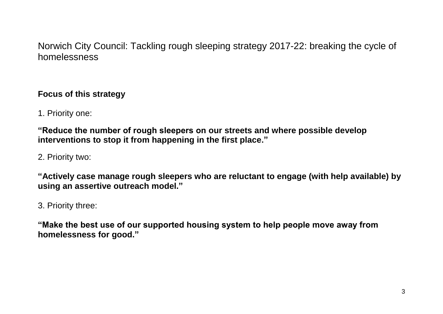### **Focus of this strategy**

1. Priority one:

**"Reduce the number of rough sleepers on our streets and where possible develop interventions to stop it from happening in the first place."**

2. Priority two:

**"Actively case manage rough sleepers who are reluctant to engage (with help available) by using an assertive outreach model."**

3. Priority three:

**"Make the best use of our supported housing system to help people move away from homelessness for good."**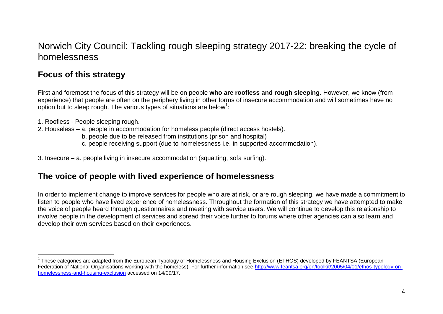### **Focus of this strategy**

First and foremost the focus of this strategy will be on people **who are roofless and rough sleeping**. However, we know (from experience) that people are often on the periphery living in other forms of insecure accommodation and will sometimes have no option but to sleep rough. The various types of situations are below<sup>1</sup>:

- 1. Roofless People sleeping rough.
- 2. Houseless a. people in accommodation for homeless people (direct access hostels).
	- b. people due to be released from institutions (prison and hospital)
	- c. people receiving support (due to homelessness i.e. in supported accommodation).
- 3. Insecure a. people living in insecure accommodation (squatting, sofa surfing).

### **The voice of people with lived experience of homelessness**

In order to implement change to improve services for people who are at risk, or are rough sleeping, we have made a commitment to listen to people who have lived experience of homelessness. Throughout the formation of this strategy we have attempted to make the voice of people heard through questionnaires and meeting with service users. We will continue to develop this relationship to involve people in the development of services and spread their voice further to forums where other agencies can also learn and develop their own services based on their experiences.

 $\overline{a}$ <sup>1</sup> These categories are adapted from the European Typology of Homelessness and Housing Exclusion (ETHOS) developed by FEANTSA (European Federation of National Organisations working with the homeless). For further information see [http://www.feantsa.org/en/toolkit/2005/04/01/ethos-typology-on](http://www.feantsa.org/en/toolkit/2005/04/01/ethos-typology-on-homelessness-and-housing-exclusion)[homelessness-and-housing-exclusion](http://www.feantsa.org/en/toolkit/2005/04/01/ethos-typology-on-homelessness-and-housing-exclusion) accessed on 14/09/17.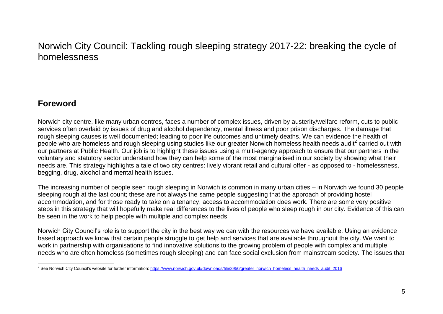### **Foreword**

Norwich city centre, like many urban centres, faces a number of complex issues, driven by austerity/welfare reform, cuts to public services often overlaid by issues of drug and alcohol dependency, mental illness and poor prison discharges. The damage that rough sleeping causes is well documented; leading to poor life outcomes and untimely deaths. We can evidence the health of people who are homeless and rough sleeping using studies like our greater Norwich homeless health needs audit<sup>2</sup> carried out with our partners at Public Health. Our job is to highlight these issues using a multi-agency approach to ensure that our partners in the voluntary and statutory sector understand how they can help some of the most marginalised in our society by showing what their needs are. This strategy highlights a tale of two city centres: lively vibrant retail and cultural offer - as opposed to - homelessness, begging, drug, alcohol and mental health issues.

The increasing number of people seen rough sleeping in Norwich is common in many urban cities – in Norwich we found 30 people sleeping rough at the last count; these are not always the same people suggesting that the approach of providing hostel accommodation, and for those ready to take on a tenancy, access to accommodation does work. There are some very positive steps in this strategy that will hopefully make real differences to the lives of people who sleep rough in our city. Evidence of this can be seen in the work to help people with multiple and complex needs.

Norwich City Council's role is to support the city in the best way we can with the resources we have available. Using an evidence based approach we know that certain people struggle to get help and services that are available throughout the city. We want to work in partnership with organisations to find innovative solutions to the growing problem of people with complex and multiple needs who are often homeless (sometimes rough sleeping) and can face social exclusion from mainstream society. The issues that

 $\overline{a}$ <sup>2</sup> See Norwich City Council's website for further information[: https://www.norwich.gov.uk/downloads/file/3950/greater\\_norwich\\_homeless\\_health\\_needs\\_audit\\_2016](https://www.norwich.gov.uk/downloads/file/3950/greater_norwich_homeless_health_needs_audit_2016)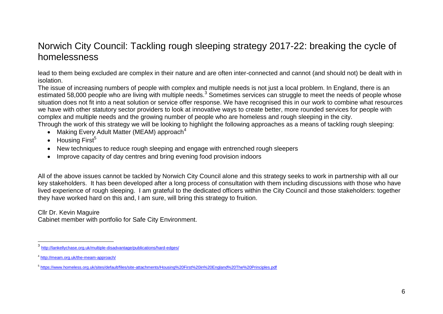lead to them being excluded are complex in their nature and are often inter-connected and cannot (and should not) be dealt with in isolation.

The issue of increasing numbers of people with complex and multiple needs is not just a local problem. In England, there is an estimated 58,000 people who are living with multiple needs.<sup>3</sup> Sometimes services can struggle to meet the needs of people whose situation does not fit into a neat solution or service offer response. We have recognised this in our work to combine what resources we have with other statutory sector providers to look at innovative ways to create better, more rounded services for people with complex and multiple needs and the growing number of people who are homeless and rough sleeping in the city.

Through the work of this strategy we will be looking to highlight the following approaches as a means of tackling rough sleeping:

- Making Every Adult Matter (MEAM) approach<sup>4</sup>
- $\bullet$  Housing First<sup>5</sup>
- New techniques to reduce rough sleeping and engage with entrenched rough sleepers
- Improve capacity of day centres and bring evening food provision indoors

All of the above issues cannot be tackled by Norwich City Council alone and this strategy seeks to work in partnership with all our key stakeholders. It has been developed after a long process of consultation with them including discussions with those who have lived experience of rough sleeping. I am grateful to the dedicated officers within the City Council and those stakeholders: together they have worked hard on this and, I am sure, will bring this strategy to fruition.

Cllr Dr. Kevin Maguire

 $\overline{a}$ 

Cabinet member with portfolio for Safe City Environment.

<sup>3</sup> <http://lankellychase.org.uk/multiple-disadvantage/publications/hard-edges/>

<sup>4</sup> <http://meam.org.uk/the-meam-approach/>

<sup>5</sup> <https://www.homeless.org.uk/sites/default/files/site-attachments/Housing%20First%20in%20England%20The%20Principles.pdf>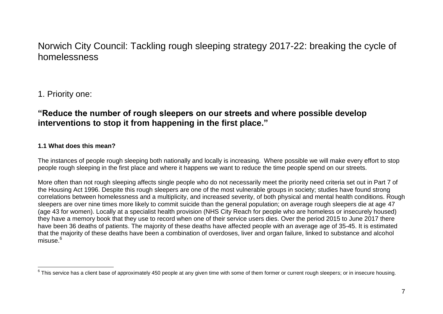### 1. Priority one:

### **"Reduce the number of rough sleepers on our streets and where possible develop interventions to stop it from happening in the first place."**

#### **1.1 What does this mean?**

The instances of people rough sleeping both nationally and locally is increasing. Where possible we will make every effort to stop people rough sleeping in the first place and where it happens we want to reduce the time people spend on our streets.

More often than not rough sleeping affects single people who do not necessarily meet the priority need criteria set out in Part 7 of the Housing Act 1996. Despite this rough sleepers are one of the most vulnerable groups in society; studies have found strong correlations between homelessness and a multiplicity, and increased severity, of both physical and mental health conditions. Rough sleepers are over nine times more likely to commit suicide than the general population; on average rough sleepers die at age 47 (age 43 for women). Locally at a specialist health provision (NHS City Reach for people who are homeless or insecurely housed) they have a memory book that they use to record when one of their service users dies. Over the period 2015 to June 2017 there have been 36 deaths of patients. The majority of these deaths have affected people with an average age of 35-45. It is estimated that the majority of these deaths have been a combination of overdoses, liver and organ failure, linked to substance and alcohol misuse.<sup>6</sup>

 6 This service has a client base of approximately 450 people at any given time with some of them former or current rough sleepers; or in insecure housing.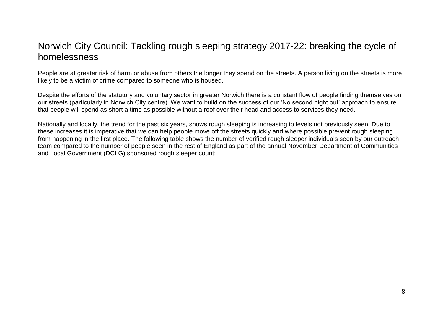People are at greater risk of harm or abuse from others the longer they spend on the streets. A person living on the streets is more likely to be a victim of crime compared to someone who is housed.

Despite the efforts of the statutory and voluntary sector in greater Norwich there is a constant flow of people finding themselves on our streets (particularly in Norwich City centre). We want to build on the success of our 'No second night out' approach to ensure that people will spend as short a time as possible without a roof over their head and access to services they need.

Nationally and locally, the trend for the past six years, shows rough sleeping is increasing to levels not previously seen. Due to these increases it is imperative that we can help people move off the streets quickly and where possible prevent rough sleeping from happening in the first place. The following table shows the number of verified rough sleeper individuals seen by our outreach team compared to the number of people seen in the rest of England as part of the annual November Department of Communities and Local Government (DCLG) sponsored rough sleeper count: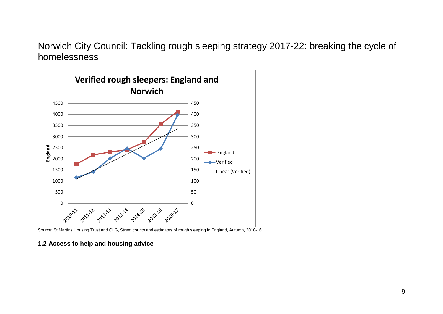

Source: St Martins Housing Trust and CLG, Street counts and estimates of rough sleeping in England, Autumn, 2010-16.

#### **1.2 Access to help and housing advice**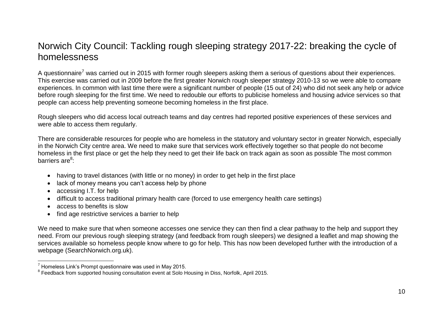A questionnaire<sup>7</sup> was carried out in 2015 with former rough sleepers asking them a serious of questions about their experiences. This exercise was carried out in 2009 before the first greater Norwich rough sleeper strategy 2010-13 so we were able to compare experiences. In common with last time there were a significant number of people (15 out of 24) who did not seek any help or advice before rough sleeping for the first time. We need to redouble our efforts to publicise homeless and housing advice services so that people can access help preventing someone becoming homeless in the first place.

Rough sleepers who did access local outreach teams and day centres had reported positive experiences of these services and were able to access them regularly.

There are considerable resources for people who are homeless in the statutory and voluntary sector in greater Norwich, especially in the Norwich City centre area. We need to make sure that services work effectively together so that people do not become homeless in the first place or get the help they need to get their life back on track again as soon as possible The most common barriers are<sup>8</sup>:

- having to travel distances (with little or no money) in order to get help in the first place
- lack of money means you can't access help by phone
- accessing I.T. for help

 $\overline{a}$ 

- difficult to access traditional primary health care (forced to use emergency health care settings)
- access to benefits is slow
- find age restrictive services a barrier to help

We need to make sure that when someone accesses one service they can then find a clear pathway to the help and support they need. From our previous rough sleeping strategy (and feedback from rough sleepers) we designed a leaflet and map showing the services available so homeless people know where to go for help. This has now been developed further with the introduction of a webpage (SearchNorwich.org.uk).

 $7$  Homeless Link's Prompt questionnaire was used in May 2015.

<sup>&</sup>lt;sup>8</sup> Feedback from supported housing consultation event at Solo Housing in Diss, Norfolk, April 2015.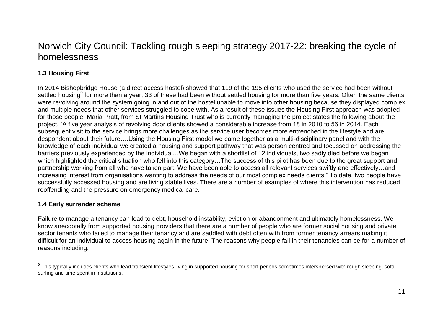#### **1.3 Housing First**

In 2014 Bishopbridge House (a direct access hostel) showed that 119 of the 195 clients who used the service had been without settled housing<sup>9</sup> for more than a year; 33 of these had been without settled housing for more than five years. Often the same clients were revolving around the system going in and out of the hostel unable to move into other housing because they displayed complex and multiple needs that other services struggled to cope with. As a result of these issues the Housing First approach was adopted for those people. Maria Pratt, from St Martins Housing Trust who is currently managing the project states the following about the project, "A five year analysis of revolving door clients showed a considerable increase from 18 in 2010 to 56 in 2014. Each subsequent visit to the service brings more challenges as the service user becomes more entrenched in the lifestyle and are despondent about their future….Using the Housing First model we came together as a multi-disciplinary panel and with the knowledge of each individual we created a housing and support pathway that was person centred and focussed on addressing the barriers previously experienced by the individual…We began with a shortlist of 12 individuals, two sadly died before we began which highlighted the critical situation who fell into this category…The success of this pilot has been due to the great support and partnership working from all who have taken part. We have been able to access all relevant services swiftly and effectively…and increasing interest from organisations wanting to address the needs of our most complex needs clients." To date, two people have successfully accessed housing and are living stable lives. There are a number of examples of where this intervention has reduced reoffending and the pressure on emergency medical care.

#### **1.4 Early surrender scheme**

Failure to manage a tenancy can lead to debt, household instability, eviction or abandonment and ultimately homelessness. We know anecdotally from supported housing providers that there are a number of people who are former social housing and private sector tenants who failed to manage their tenancy and are saddled with debt often with from former tenancy arrears making it difficult for an individual to access housing again in the future. The reasons why people fail in their tenancies can be for a number of reasons including:

 $\overline{a}$  $^9$  This typically includes clients who lead transient lifestyles living in supported housing for short periods sometimes interspersed with rough sleeping, sofa surfing and time spent in institutions.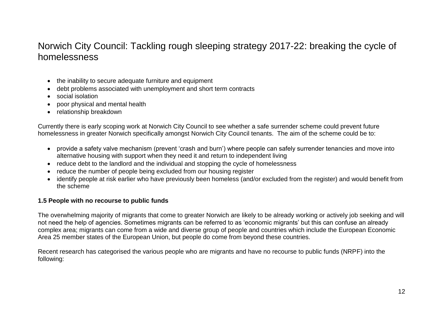- the inability to secure adequate furniture and equipment
- debt problems associated with unemployment and short term contracts
- social isolation
- poor physical and mental health
- relationship breakdown

Currently there is early scoping work at Norwich City Council to see whether a safe surrender scheme could prevent future homelessness in greater Norwich specifically amongst Norwich City Council tenants. The aim of the scheme could be to:

- provide a safety valve mechanism (prevent 'crash and burn') where people can safely surrender tenancies and move into alternative housing with support when they need it and return to independent living
- reduce debt to the landlord and the individual and stopping the cycle of homelessness
- reduce the number of people being excluded from our housing register
- identify people at risk earlier who have previously been homeless (and/or excluded from the register) and would benefit from the scheme

#### **1.5 People with no recourse to public funds**

The overwhelming majority of migrants that come to greater Norwich are likely to be already working or actively job seeking and will not need the help of agencies. Sometimes migrants can be referred to as 'economic migrants' but this can confuse an already complex area; migrants can come from a wide and diverse group of people and countries which include the European Economic Area 25 member states of the European Union, but people do come from beyond these countries.

Recent research has categorised the various people who are migrants and have no recourse to public funds (NRPF) into the following: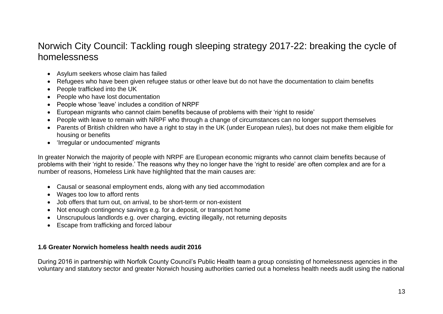- Asylum seekers whose claim has failed
- Refugees who have been given refugee status or other leave but do not have the documentation to claim benefits
- People trafficked into the UK
- People who have lost documentation
- People whose 'leave' includes a condition of NRPF
- European migrants who cannot claim benefits because of problems with their 'right to reside'
- People with leave to remain with NRPF who through a change of circumstances can no longer support themselves
- Parents of British children who have a right to stay in the UK (under European rules), but does not make them eligible for housing or benefits
- 'Irregular or undocumented' migrants

In greater Norwich the majority of people with NRPF are European economic migrants who cannot claim benefits because of problems with their 'right to reside.' The reasons why they no longer have the 'right to reside' are often complex and are for a number of reasons, Homeless Link have highlighted that the main causes are:

- Causal or seasonal employment ends, along with any tied accommodation
- Wages too low to afford rents
- Job offers that turn out, on arrival, to be short-term or non-existent
- Not enough contingency savings e.g. for a deposit, or transport home
- Unscrupulous landlords e.g. over charging, evicting illegally, not returning deposits
- Escape from trafficking and forced labour

#### **1.6 Greater Norwich homeless health needs audit 2016**

During 2016 in partnership with Norfolk County Council's Public Health team a group consisting of homelessness agencies in the voluntary and statutory sector and greater Norwich housing authorities carried out a homeless health needs audit using the national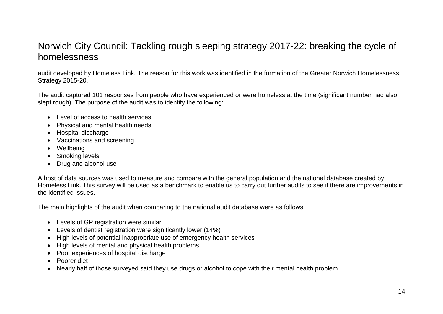audit developed by Homeless Link. The reason for this work was identified in the formation of the Greater Norwich Homelessness Strategy 2015-20.

The audit captured 101 responses from people who have experienced or were homeless at the time (significant number had also slept rough). The purpose of the audit was to identify the following:

- Level of access to health services
- Physical and mental health needs
- Hospital discharge
- Vaccinations and screening
- Wellbeing
- Smoking levels
- Drug and alcohol use

A host of data sources was used to measure and compare with the general population and the national database created by Homeless Link. This survey will be used as a benchmark to enable us to carry out further audits to see if there are improvements in the identified issues.

The main highlights of the audit when comparing to the national audit database were as follows:

- Levels of GP registration were similar
- Levels of dentist registration were significantly lower (14%)
- High levels of potential inappropriate use of emergency health services
- High levels of mental and physical health problems
- Poor experiences of hospital discharge
- Poorer diet
- Nearly half of those surveved said they use drugs or alcohol to cope with their mental health problem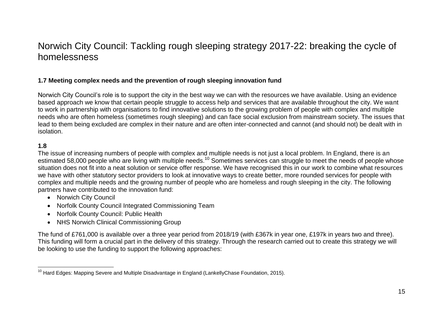#### **1.7 Meeting complex needs and the prevention of rough sleeping innovation fund**

Norwich City Council's role is to support the city in the best way we can with the resources we have available. Using an evidence based approach we know that certain people struggle to access help and services that are available throughout the city. We want to work in partnership with organisations to find innovative solutions to the growing problem of people with complex and multiple needs who are often homeless (sometimes rough sleeping) and can face social exclusion from mainstream society. The issues that lead to them being excluded are complex in their nature and are often inter-connected and cannot (and should not) be dealt with in isolation.

#### **1.8**

The issue of increasing numbers of people with complex and multiple needs is not just a local problem. In England, there is an estimated 58,000 people who are living with multiple needs.<sup>10</sup> Sometimes services can struggle to meet the needs of people whose situation does not fit into a neat solution or service offer response. We have recognised this in our work to combine what resources we have with other statutory sector providers to look at innovative ways to create better, more rounded services for people with complex and multiple needs and the growing number of people who are homeless and rough sleeping in the city. The following partners have contributed to the innovation fund:

- Norwich City Council
- Norfolk County Council Integrated Commissioning Team
- Norfolk County Council: Public Health
- NHS Norwich Clinical Commissioning Group

The fund of £761,000 is available over a three year period from 2018/19 (with £367k in year one, £197k in years two and three). This funding will form a crucial part in the delivery of this strategy. Through the research carried out to create this strategy we will be looking to use the funding to support the following approaches:

 $\overline{a}$  $10$  Hard Edges: Mapping Severe and Multiple Disadvantage in England (LankellyChase Foundation, 2015).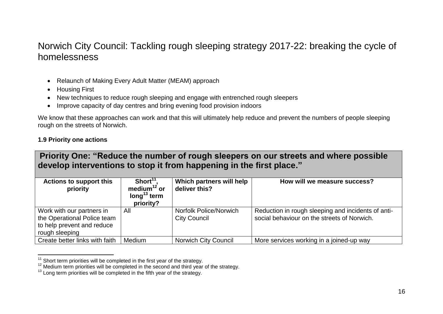- Relaunch of Making Every Adult Matter (MEAM) approach
- Housing First
- New techniques to reduce rough sleeping and engage with entrenched rough sleepers
- Improve capacity of day centres and bring evening food provision indoors

We know that these approaches can work and that this will ultimately help reduce and prevent the numbers of people sleeping rough on the streets of Norwich.

#### **1.9 Priority one actions**

 $\overline{a}$ 

| <b>Actions to support this</b><br>priority                                                               | Short $11$ .<br>medium $12$ or<br>long <sup>13</sup> term<br>priority? | Which partners will help<br>deliver this?     | How will we measure success?                                                                      |
|----------------------------------------------------------------------------------------------------------|------------------------------------------------------------------------|-----------------------------------------------|---------------------------------------------------------------------------------------------------|
| Work with our partners in<br>the Operational Police team<br>to help prevent and reduce<br>rough sleeping | All                                                                    | Norfolk Police/Norwich<br><b>City Council</b> | Reduction in rough sleeping and incidents of anti-<br>social behaviour on the streets of Norwich. |
| Create better links with faith                                                                           | Medium                                                                 | <b>Norwich City Council</b>                   | More services working in a joined-up way                                                          |

 $11$  Short term priorities will be completed in the first year of the strategy.

<sup>&</sup>lt;sup>12</sup> Medium term priorities will be completed in the second and third year of the strategy.

 $13$  Long term priorities will be completed in the fifth year of the strategy.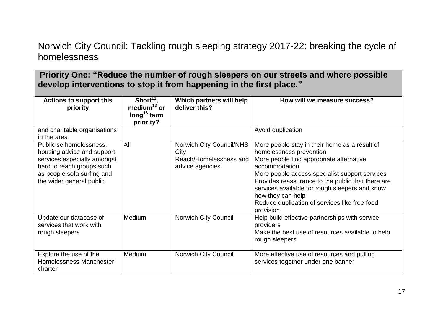| <b>Actions to support this</b><br>priority                                                                                                                                  | $Short11$ ,<br>medium $12$ or<br>long <sup>13</sup> term<br>priority? | Which partners will help<br>deliver this?                                            | How will we measure success?                                                                                                                                                                                                                                                                                                                                                      |
|-----------------------------------------------------------------------------------------------------------------------------------------------------------------------------|-----------------------------------------------------------------------|--------------------------------------------------------------------------------------|-----------------------------------------------------------------------------------------------------------------------------------------------------------------------------------------------------------------------------------------------------------------------------------------------------------------------------------------------------------------------------------|
| and charitable organisations<br>in the area                                                                                                                                 |                                                                       |                                                                                      | Avoid duplication                                                                                                                                                                                                                                                                                                                                                                 |
| Publicise homelessness,<br>housing advice and support<br>services especially amongst<br>hard to reach groups such<br>as people sofa surfing and<br>the wider general public | All                                                                   | <b>Norwich City Council/NHS</b><br>City<br>Reach/Homelessness and<br>advice agencies | More people stay in their home as a result of<br>homelessness prevention<br>More people find appropriate alternative<br>accommodation<br>More people access specialist support services<br>Provides reassurance to the public that there are<br>services available for rough sleepers and know<br>how they can help<br>Reduce duplication of services like free food<br>provision |
| Update our database of<br>services that work with<br>rough sleepers                                                                                                         | Medium                                                                | <b>Norwich City Council</b>                                                          | Help build effective partnerships with service<br>providers<br>Make the best use of resources available to help<br>rough sleepers                                                                                                                                                                                                                                                 |
| Explore the use of the<br>Homelessness Manchester<br>charter                                                                                                                | Medium                                                                | <b>Norwich City Council</b>                                                          | More effective use of resources and pulling<br>services together under one banner                                                                                                                                                                                                                                                                                                 |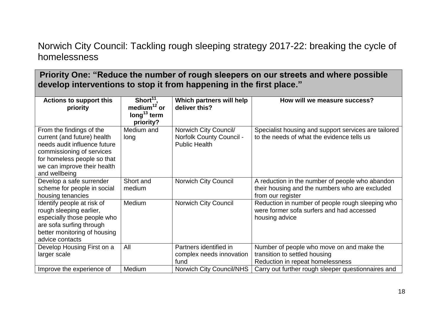| <b>Actions to support this</b><br>priority                                                                                                                                                          | Short $11$ ,<br>medium $12$ or<br>$\log^{13}$ term<br>priority? | Which partners will help<br>deliver this?                                        | How will we measure success?                                                                                           |
|-----------------------------------------------------------------------------------------------------------------------------------------------------------------------------------------------------|-----------------------------------------------------------------|----------------------------------------------------------------------------------|------------------------------------------------------------------------------------------------------------------------|
| From the findings of the<br>current (and future) health<br>needs audit influence future<br>commissioning of services<br>for homeless people so that<br>we can improve their health<br>and wellbeing | Medium and<br>long                                              | Norwich City Council/<br><b>Norfolk County Council -</b><br><b>Public Health</b> | Specialist housing and support services are tailored<br>to the needs of what the evidence tells us                     |
| Develop a safe surrender<br>scheme for people in social<br>housing tenancies                                                                                                                        | Short and<br>medium                                             | Norwich City Council                                                             | A reduction in the number of people who abandon<br>their housing and the numbers who are excluded<br>from our register |
| Identify people at risk of<br>rough sleeping earlier,<br>especially those people who<br>are sofa surfing through<br>better monitoring of housing<br>advice contacts                                 | Medium                                                          | Norwich City Council                                                             | Reduction in number of people rough sleeping who<br>were former sofa surfers and had accessed<br>housing advice        |
| Develop Housing First on a<br>larger scale                                                                                                                                                          | All                                                             | Partners identified in<br>complex needs innovation<br>fund                       | Number of people who move on and make the<br>transition to settled housing<br>Reduction in repeat homelessness         |
| Improve the experience of                                                                                                                                                                           | Medium                                                          | <b>Norwich City Council/NHS</b>                                                  | Carry out further rough sleeper questionnaires and                                                                     |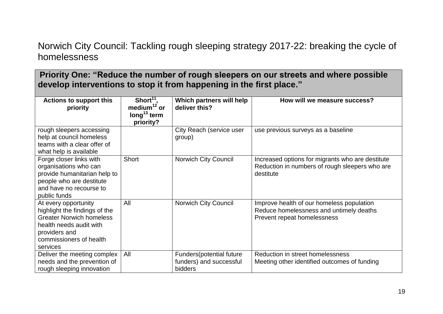| <b>Actions to support this</b><br>priority                                                                                                                                  | Short $11$ ,<br>medium $12$ or<br>$\log^{13}$ term<br>priority? | Which partners will help<br>deliver this?                      | How will we measure success?                                                                                        |
|-----------------------------------------------------------------------------------------------------------------------------------------------------------------------------|-----------------------------------------------------------------|----------------------------------------------------------------|---------------------------------------------------------------------------------------------------------------------|
| rough sleepers accessing<br>help at council homeless<br>teams with a clear offer of<br>what help is available                                                               |                                                                 | City Reach (service user<br>group)                             | use previous surveys as a baseline                                                                                  |
| Forge closer links with<br>organisations who can<br>provide humanitarian help to<br>people who are destitute<br>and have no recourse to<br>public funds                     | <b>Short</b>                                                    | <b>Norwich City Council</b>                                    | Increased options for migrants who are destitute<br>Reduction in numbers of rough sleepers who are<br>destitute     |
| At every opportunity<br>highlight the findings of the<br><b>Greater Norwich homeless</b><br>health needs audit with<br>providers and<br>commissioners of health<br>services | All                                                             | Norwich City Council                                           | Improve health of our homeless population<br>Reduce homelessness and untimely deaths<br>Prevent repeat homelessness |
| Deliver the meeting complex<br>needs and the prevention of<br>rough sleeping innovation                                                                                     | All                                                             | Funders(potential future<br>funders) and successful<br>bidders | Reduction in street homelessness<br>Meeting other identified outcomes of funding                                    |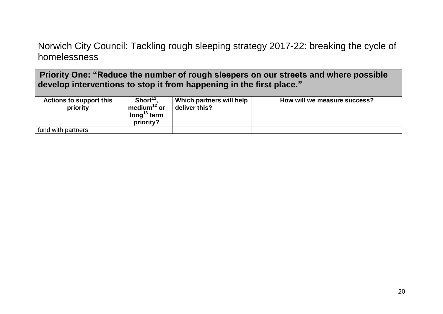| <b>Actions to support this</b><br>priority | Short <sup>11</sup><br>medium <sup>12</sup> or<br>long <sup>13</sup> term<br>priority? | Which partners will help<br>deliver this? | How will we measure success? |
|--------------------------------------------|----------------------------------------------------------------------------------------|-------------------------------------------|------------------------------|
| fund with partners                         |                                                                                        |                                           |                              |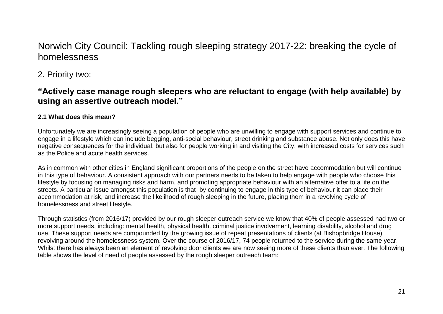2. Priority two:

### **"Actively case manage rough sleepers who are reluctant to engage (with help available) by using an assertive outreach model."**

#### **2.1 What does this mean?**

Unfortunately we are increasingly seeing a population of people who are unwilling to engage with support services and continue to engage in a lifestyle which can include begging, anti-social behaviour, street drinking and substance abuse. Not only does this have negative consequences for the individual, but also for people working in and visiting the City; with increased costs for services such as the Police and acute health services.

As in common with other cities in England significant proportions of the people on the street have accommodation but will continue in this type of behaviour. A consistent approach with our partners needs to be taken to help engage with people who choose this lifestyle by focusing on managing risks and harm, and promoting appropriate behaviour with an alternative offer to a life on the streets. A particular issue amongst this population is that by continuing to engage in this type of behaviour it can place their accommodation at risk, and increase the likelihood of rough sleeping in the future, placing them in a revolving cycle of homelessness and street lifestyle.

Through statistics (from 2016/17) provided by our rough sleeper outreach service we know that 40% of people assessed had two or more support needs, including: mental health, physical health, criminal justice involvement, learning disability, alcohol and drug use. These support needs are compounded by the growing issue of repeat presentations of clients (at Bishopbridge House) revolving around the homelessness system. Over the course of 2016/17, 74 people returned to the service during the same year. Whilst there has always been an element of revolving door clients we are now seeing more of these clients than ever. The following table shows the level of need of people assessed by the rough sleeper outreach team: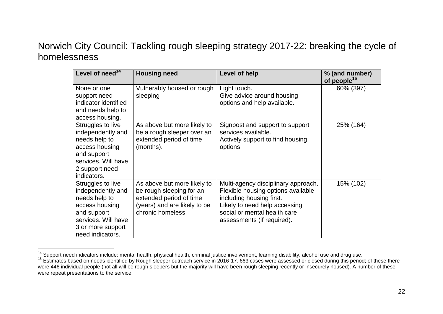| Level of need <sup>14</sup>                                                                                                                              | <b>Housing need</b>                                                                                                                     | Level of help                                                                                                                                                                                        | % (and number)<br>of people <sup>15</sup> |
|----------------------------------------------------------------------------------------------------------------------------------------------------------|-----------------------------------------------------------------------------------------------------------------------------------------|------------------------------------------------------------------------------------------------------------------------------------------------------------------------------------------------------|-------------------------------------------|
| None or one<br>support need<br>indicator identified<br>and needs help to<br>access housing.                                                              | Vulnerably housed or rough<br>sleeping                                                                                                  | Light touch.<br>Give advice around housing<br>options and help available.                                                                                                                            | 60% (397)                                 |
| Struggles to live<br>independently and<br>needs help to<br>access housing<br>and support<br>services. Will have<br>2 support need<br>indicators.         | As above but more likely to<br>be a rough sleeper over an<br>extended period of time<br>(months).                                       | Signpost and support to support<br>services available.<br>Actively support to find housing<br>options.                                                                                               | 25% (164)                                 |
| Struggles to live<br>independently and<br>needs help to<br>access housing<br>and support<br>services. Will have<br>3 or more support<br>need indicators. | As above but more likely to<br>be rough sleeping for an<br>extended period of time<br>(years) and are likely to be<br>chronic homeless. | Multi-agency disciplinary approach.<br>Flexible housing options available<br>including housing first.<br>Likely to need help accessing<br>social or mental health care<br>assessments (if required). | 15% (102)                                 |

 $\overline{a}$ <sup>14</sup> Support need indicators include: mental health, physical health, criminal justice involvement, learning disability, alcohol use and drug use.

<sup>&</sup>lt;sup>15</sup> Estimates based on needs identified by Rough sleeper outreach service in 2016-17. 663 cases were assessed or closed during this period; of these there were 446 individual people (not all will be rough sleepers but the majority will have been rough sleeping recently or insecurely housed). A number of these were repeat presentations to the service.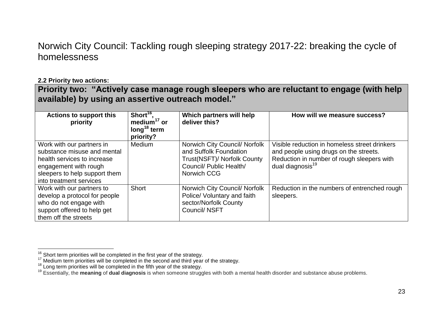#### **2.2 Priority two actions:**

**Priority two: "Actively case manage rough sleepers who are reluctant to engage (with help available) by using an assertive outreach model."**

| <b>Actions to support this</b><br>priority                                                                                                                                   | Short <sup>16</sup> ,<br>medium $17$ or<br>$\log^{18}$ term<br>priority? | Which partners will help<br>deliver this?                                                                                        | How will we measure success?                                                                                                                                          |
|------------------------------------------------------------------------------------------------------------------------------------------------------------------------------|--------------------------------------------------------------------------|----------------------------------------------------------------------------------------------------------------------------------|-----------------------------------------------------------------------------------------------------------------------------------------------------------------------|
| Work with our partners in<br>substance misuse and mental<br>health services to increase<br>engagement with rough<br>sleepers to help support them<br>into treatment services | Medium                                                                   | Norwich City Council/ Norfolk<br>and Suffolk Foundation<br>Trust(NSFT)/ Norfolk County<br>Council/ Public Health/<br>Norwich CCG | Visible reduction in homeless street drinkers<br>and people using drugs on the streets.<br>Reduction in number of rough sleepers with<br>dual diagnosis <sup>19</sup> |
| Work with our partners to<br>develop a protocol for people<br>who do not engage with<br>support offered to help get<br>them off the streets                                  | <b>Short</b>                                                             | Norwich City Council/ Norfolk<br>Police/ Voluntary and faith<br>sector/Norfolk County<br>Council/ NSFT                           | Reduction in the numbers of entrenched rough<br>sleepers.                                                                                                             |

 $\overline{a}$  $16$  Short term priorities will be completed in the first year of the strategy.

 $17$  Medium term priorities will be completed in the second and third year of the strategy.

<sup>&</sup>lt;sup>18</sup> Long term priorities will be completed in the fifth year of the strategy.

<sup>19</sup> Essentially, the **meaning** of **dual diagnosis** is when someone struggles with both a mental health disorder and substance abuse problems.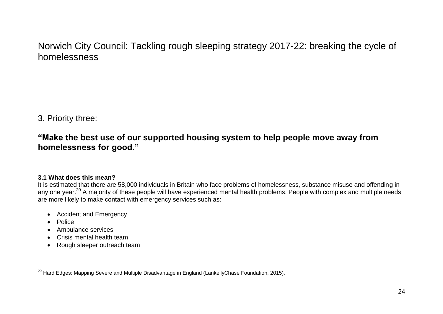3. Priority three:

### **"Make the best use of our supported housing system to help people move away from homelessness for good."**

#### **3.1 What does this mean?**

It is estimated that there are 58,000 individuals in Britain who face problems of homelessness, substance misuse and offending in any one year.<sup>20</sup> A majority of these people will have experienced mental health problems. People with complex and multiple needs are more likely to make contact with emergency services such as:

- Accident and Emergency
- Police
- Ambulance services
- Crisis mental health team
- Rough sleeper outreach team

 $\overline{a}$  $^{20}$  Hard Edges: Mapping Severe and Multiple Disadvantage in England (LankellyChase Foundation, 2015).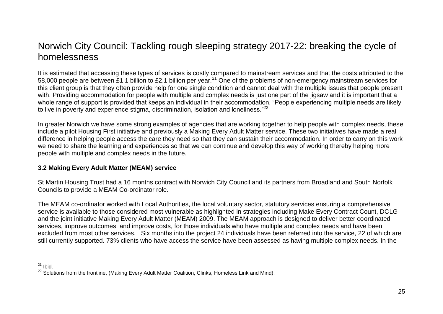It is estimated that accessing these types of services is costly compared to mainstream services and that the costs attributed to the 58,000 people are between £1.1 billion to £2.1 billion per year.<sup>21</sup> One of the problems of non-emergency mainstream services for this client group is that they often provide help for one single condition and cannot deal with the multiple issues that people present with. Providing accommodation for people with multiple and complex needs is just one part of the jigsaw and it is important that a whole range of support is provided that keeps an individual in their accommodation. "People experiencing multiple needs are likely to live in poverty and experience stigma, discrimination, isolation and loneliness."<sup>22</sup>

In greater Norwich we have some strong examples of agencies that are working together to help people with complex needs, these include a pilot Housing First initiative and previously a Making Every Adult Matter service. These two initiatives have made a real difference in helping people access the care they need so that they can sustain their accommodation. In order to carry on this work we need to share the learning and experiences so that we can continue and develop this way of working thereby helping more people with multiple and complex needs in the future.

#### **3.2 Making Every Adult Matter (MEAM) service**

St Martin Housing Trust had a 16 months contract with Norwich City Council and its partners from Broadland and South Norfolk Councils to provide a MEAM Co-ordinator role.

The MEAM co-ordinator worked with Local Authorities, the local voluntary sector, statutory services ensuring a comprehensive service is available to those considered most vulnerable as highlighted in strategies including Make Every Contract Count, DCLG and the joint initiative Making Every Adult Matter (MEAM) 2009. The MEAM approach is designed to deliver better coordinated services, improve outcomes, and improve costs, for those individuals who have multiple and complex needs and have been excluded from most other services. Six months into the project 24 individuals have been referred into the service, 22 of which are still currently supported. 73% clients who have access the service have been assessed as having multiple complex needs. In the

 $\overline{a}$  $21$  Ibid.

<sup>&</sup>lt;sup>22</sup> Solutions from the frontline, (Making Every Adult Matter Coalition, Clinks, Homeless Link and Mind).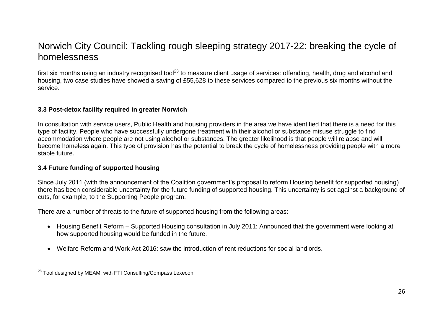first six months using an industry recognised tool<sup>23</sup> to measure client usage of services: offending, health, drug and alcohol and housing, two case studies have showed a saving of £55,628 to these services compared to the previous six months without the service.

#### **3.3 Post-detox facility required in greater Norwich**

In consultation with service users, Public Health and housing providers in the area we have identified that there is a need for this type of facility. People who have successfully undergone treatment with their alcohol or substance misuse struggle to find accommodation where people are not using alcohol or substances. The greater likelihood is that people will relapse and will become homeless again. This type of provision has the potential to break the cycle of homelessness providing people with a more stable future.

#### **3.4 Future funding of supported housing**

Since July 2011 (with the announcement of the Coalition government's proposal to reform Housing benefit for supported housing) there has been considerable uncertainty for the future funding of supported housing. This uncertainty is set against a background of cuts, for example, to the Supporting People program.

There are a number of threats to the future of supported housing from the following areas:

- Housing Benefit Reform Supported Housing consultation in July 2011: Announced that the government were looking at how supported housing would be funded in the future.
- Welfare Reform and Work Act 2016: saw the introduction of rent reductions for social landlords.

 $\overline{a}$  $^{23}$  Tool designed by MEAM, with FTI Consulting/Compass Lexecon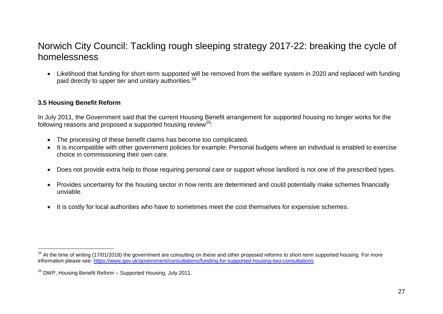Likelihood that funding for short-term supported will be removed from the welfare system in 2020 and replaced with funding paid directly to upper tier and unitary authorities.<sup>24</sup>

#### **3.5 Housing Benefit Reform**

In July 2011, the Government said that the current Housing Benefit arrangement for supported housing no longer works for the following reasons and proposed a supported housing review<sup>25</sup>:

- The processing of these benefit claims has become too complicated.
- It is incompatible with other government policies for example: Personal budgets where an individual is enabled to exercise choice in commissioning their own care.
- Does not provide extra help to those requiring personal care or support whose landlord is not one of the prescribed types.
- Provides uncertainty for the housing sector in how rents are determined and could potentially make schemes financially unviable.
- It is costly for local authorities who have to sometimes meet the cost themselves for expensive schemes.

 $\overline{a}$ <sup>24</sup> At the time of writing (17/01/2018) the government are consulting on these and other proposed reforms to short-term supported housing. For more information please see:<https://www.gov.uk/government/consultations/funding-for-supported-housing-two-consultations>

<sup>&</sup>lt;sup>25</sup> DWP, Housing Benefit Reform - Supported Housing, July 2011.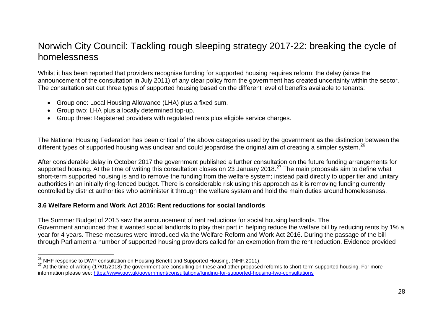Whilst it has been reported that providers recognise funding for supported housing requires reform; the delay (since the announcement of the consultation in July 2011) of any clear policy from the government has created uncertainty within the sector. The consultation set out three types of supported housing based on the different level of benefits available to tenants:

- Group one: Local Housing Allowance (LHA) plus a fixed sum.
- Group two: LHA plus a locally determined top-up.
- Group three: Registered providers with regulated rents plus eligible service charges.

The National Housing Federation has been critical of the above categories used by the government as the distinction between the different types of supported housing was unclear and could jeopardise the original aim of creating a simpler system.<sup>26</sup>

After considerable delay in October 2017 the government published a further consultation on the future funding arrangements for supported housing. At the time of writing this consultation closes on 23 January 2018.<sup>27</sup> The main proposals aim to define what short-term supported housing is and to remove the funding from the welfare system; instead paid directly to upper tier and unitary authorities in an initially ring-fenced budget. There is considerable risk using this approach as it is removing funding currently controlled by district authorities who administer it through the welfare system and hold the main duties around homelessness.

#### **3.6 Welfare Reform and Work Act 2016: Rent reductions for social landlords**

The Summer Budget of 2015 saw the announcement of rent reductions for social housing landlords. The Government announced that it wanted social landlords to play their part in helping reduce the welfare bill by reducing rents by 1% a year for 4 years. These measures were introduced via the Welfare Reform and Work Act 2016. During the passage of the bill through Parliament a number of supported housing providers called for an exemption from the rent reduction. Evidence provided

 $\overline{a}$  $^{26}$  NHF response to DWP consultation on Housing Benefit and Supported Housing, (NHF,2011).

<sup>&</sup>lt;sup>27</sup> At the time of writing (17/01/2018) the government are consulting on these and other proposed reforms to short-term supported housing. For more information please see:<https://www.gov.uk/government/consultations/funding-for-supported-housing-two-consultations>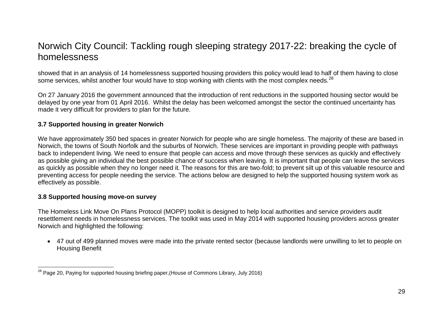showed that in an analysis of 14 homelessness supported housing providers this policy would lead to half of them having to close some services, whilst another four would have to stop working with clients with the most complex needs.<sup>28</sup>

On 27 January 2016 the government announced that the introduction of rent reductions in the supported housing sector would be delayed by one year from 01 April 2016. Whilst the delay has been welcomed amongst the sector the continued uncertainty has made it very difficult for providers to plan for the future.

#### **3.7 Supported housing in greater Norwich**

We have approximately 350 bed spaces in greater Norwich for people who are single homeless. The majority of these are based in Norwich, the towns of South Norfolk and the suburbs of Norwich. These services are important in providing people with pathways back to independent living. We need to ensure that people can access and move through these services as quickly and effectively as possible giving an individual the best possible chance of success when leaving. It is important that people can leave the services as quickly as possible when they no longer need it. The reasons for this are two-fold; to prevent silt up of this valuable resource and preventing access for people needing the service. The actions below are designed to help the supported housing system work as effectively as possible.

#### **3.8 Supported housing move-on survey**

The Homeless Link Move On Plans Protocol (MOPP) toolkit is designed to help local authorities and service providers audit resettlement needs in homelessness services. The toolkit was used in May 2014 with supported housing providers across greater Norwich and highlighted the following:

 47 out of 499 planned moves were made into the private rented sector (because landlords were unwilling to let to people on Housing Benefit

 $\overline{a}$  $^{28}$  Page 20, Paying for supported housing briefing paper, (House of Commons Library, July 2016)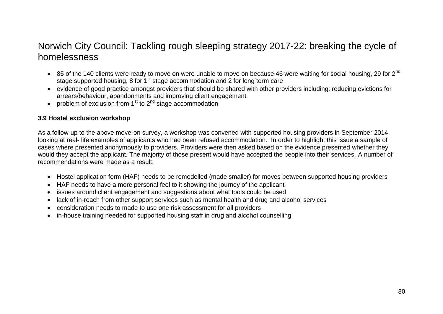- $\bullet$  85 of the 140 clients were ready to move on were unable to move on because 46 were waiting for social housing, 29 for 2<sup>nd</sup> stage supported housing, 8 for  $1<sup>st</sup>$  stage accommodation and 2 for long term care
- evidence of good practice amongst providers that should be shared with other providers including: reducing evictions for arrears/behaviour, abandonments and improving client engagement
- problem of exclusion from  $1<sup>st</sup>$  to  $2<sup>nd</sup>$  stage accommodation

#### **3.9 Hostel exclusion workshop**

As a follow-up to the above move-on survey, a workshop was convened with supported housing providers in September 2014 looking at real- life examples of applicants who had been refused accommodation. In order to highlight this issue a sample of cases where presented anonymously to providers. Providers were then asked based on the evidence presented whether they would they accept the applicant. The majority of those present would have accepted the people into their services. A number of recommendations were made as a result:

- Hostel application form (HAF) needs to be remodelled (made smaller) for moves between supported housing providers
- HAF needs to have a more personal feel to it showing the journey of the applicant
- issues around client engagement and suggestions about what tools could be used
- lack of in-reach from other support services such as mental health and drug and alcohol services
- consideration needs to made to use one risk assessment for all providers
- in-house training needed for supported housing staff in drug and alcohol counselling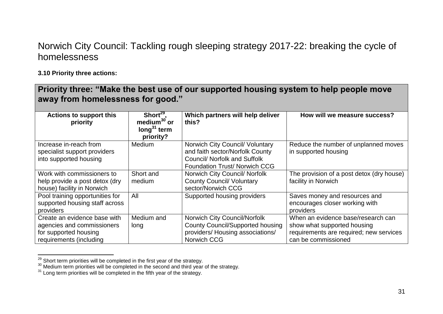#### **3.10 Priority three actions:**

 $\overline{a}$ 

| Priority three: "Make the best use of our supported housing system to help people move<br>away from homelessness for good." |                                                                                 |                                                                                                                                                   |                                                                                                                                     |
|-----------------------------------------------------------------------------------------------------------------------------|---------------------------------------------------------------------------------|---------------------------------------------------------------------------------------------------------------------------------------------------|-------------------------------------------------------------------------------------------------------------------------------------|
| <b>Actions to support this</b><br>priority                                                                                  | Short <sup>29</sup> ,<br>medium <sup>30</sup> or<br>long $31$ term<br>priority? | Which partners will help deliver<br>this?                                                                                                         | How will we measure success?                                                                                                        |
| Increase in-reach from<br>specialist support providers<br>into supported housing                                            | <b>Medium</b>                                                                   | Norwich City Council/ Voluntary<br>and faith sector/Norfolk County<br><b>Council/ Norfolk and Suffolk</b><br><b>Foundation Trust/ Norwich CCG</b> | Reduce the number of unplanned moves<br>in supported housing                                                                        |
| Work with commissioners to<br>help provide a post detox (dry<br>house) facility in Norwich                                  | Short and<br>medium                                                             | Norwich City Council/ Norfolk<br><b>County Council/ Voluntary</b><br>sector/Norwich CCG                                                           | The provision of a post detox (dry house)<br>facility in Norwich                                                                    |
| Pool training opportunities for<br>supported housing staff across<br>providers                                              | All                                                                             | Supported housing providers                                                                                                                       | Saves money and resources and<br>encourages closer working with<br>providers                                                        |
| Create an evidence base with<br>agencies and commissioners<br>for supported housing<br>requirements (including              | Medium and<br>long                                                              | Norwich City Council/Norfolk<br><b>County Council/Supported housing</b><br>providers/ Housing associations/<br>Norwich CCG                        | When an evidence base/research can<br>show what supported housing<br>requirements are required; new services<br>can be commissioned |

 $^{29}$  Short term priorities will be completed in the first year of the strategy.

 $30$  Medium term priorities will be completed in the second and third year of the strategy.

 $31$  Long term priorities will be completed in the fifth year of the strategy.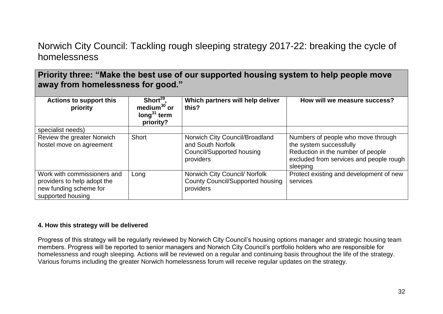**Priority three: "Make the best use of our supported housing system to help people move away from homelessness for good."**

| <b>Actions to support this</b><br>priority                                                                | Short $29$ ,<br>medium $30$ or<br>long $31$ term<br>priority? | Which partners will help deliver<br>this?                                                     | How will we measure success?                                                                                                                              |
|-----------------------------------------------------------------------------------------------------------|---------------------------------------------------------------|-----------------------------------------------------------------------------------------------|-----------------------------------------------------------------------------------------------------------------------------------------------------------|
| specialist needs)                                                                                         |                                                               |                                                                                               |                                                                                                                                                           |
| Review the greater Norwich<br>hostel move on agreement                                                    | Short                                                         | Norwich City Council/Broadland<br>and South Norfolk<br>Council/Supported housing<br>providers | Numbers of people who move through<br>the system successfully<br>Reduction in the number of people<br>excluded from services and people rough<br>sleeping |
| Work with commissioners and<br>providers to help adopt the<br>new funding scheme for<br>supported housing | Long                                                          | Norwich City Council/ Norfolk<br><b>County Council/Supported housing</b><br>providers         | Protect existing and development of new<br>services                                                                                                       |

#### **4. How this strategy will be delivered**

Progress of this strategy will be regularly reviewed by Norwich City Council's housing options manager and strategic housing team members. Progress will be reported to senior managers and Norwich City Council's portfolio holders who are responsible for homelessness and rough sleeping. Actions will be reviewed on a regular and continuing basis throughout the life of the strategy. Various forums including the greater Norwich homelessness forum will receive regular updates on the strategy.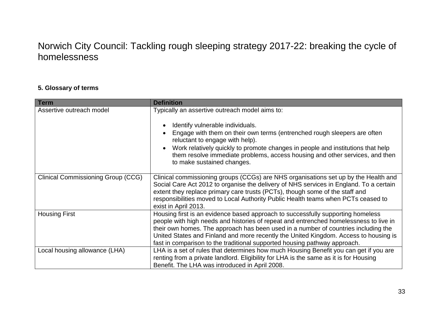#### **5. Glossary of terms**

| <b>Term</b>                               | <b>Definition</b>                                                                                                                                                                                                                                                                                                                                                                                                                   |
|-------------------------------------------|-------------------------------------------------------------------------------------------------------------------------------------------------------------------------------------------------------------------------------------------------------------------------------------------------------------------------------------------------------------------------------------------------------------------------------------|
| Assertive outreach model                  | Typically an assertive outreach model aims to:<br>Identify vulnerable individuals.<br>Engage with them on their own terms (entrenched rough sleepers are often<br>reluctant to engage with help).<br>Work relatively quickly to promote changes in people and institutions that help<br>them resolve immediate problems, access housing and other services, and then<br>to make sustained changes.                                  |
| <b>Clinical Commissioning Group (CCG)</b> | Clinical commissioning groups (CCGs) are NHS organisations set up by the Health and<br>Social Care Act 2012 to organise the delivery of NHS services in England. To a certain<br>extent they replace primary care trusts (PCTs), though some of the staff and<br>responsibilities moved to Local Authority Public Health teams when PCTs ceased to<br>exist in April 2013.                                                          |
| <b>Housing First</b>                      | Housing first is an evidence based approach to successfully supporting homeless<br>people with high needs and histories of repeat and entrenched homelessness to live in<br>their own homes. The approach has been used in a number of countries including the<br>United States and Finland and more recently the United Kingdom. Access to housing is<br>fast in comparison to the traditional supported housing pathway approach. |
| Local housing allowance (LHA)             | LHA is a set of rules that determines how much Housing Benefit you can get if you are<br>renting from a private landlord. Eligibility for LHA is the same as it is for Housing<br>Benefit. The LHA was introduced in April 2008.                                                                                                                                                                                                    |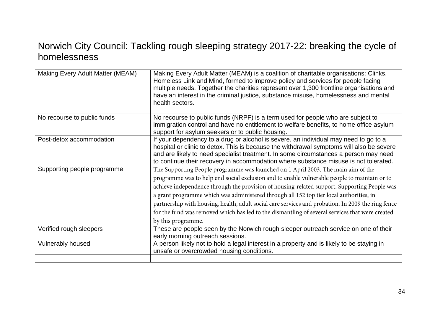| Making Every Adult Matter (MEAM) | Making Every Adult Matter (MEAM) is a coalition of charitable organisations: Clinks,<br>Homeless Link and Mind, formed to improve policy and services for people facing<br>multiple needs. Together the charities represent over 1,300 frontline organisations and<br>have an interest in the criminal justice, substance misuse, homelessness and mental<br>health sectors.                                                                                                                                                                                                                                |
|----------------------------------|-------------------------------------------------------------------------------------------------------------------------------------------------------------------------------------------------------------------------------------------------------------------------------------------------------------------------------------------------------------------------------------------------------------------------------------------------------------------------------------------------------------------------------------------------------------------------------------------------------------|
| No recourse to public funds      | No recourse to public funds (NRPF) is a term used for people who are subject to<br>immigration control and have no entitlement to welfare benefits, to home office asylum<br>support for asylum seekers or to public housing.                                                                                                                                                                                                                                                                                                                                                                               |
| Post-detox accommodation         | If your dependency to a drug or alcohol is severe, an individual may need to go to a<br>hospital or clinic to detox. This is because the withdrawal symptoms will also be severe<br>and are likely to need specialist treatment. In some circumstances a person may need<br>to continue their recovery in accommodation where substance misuse is not tolerated.                                                                                                                                                                                                                                            |
| Supporting people programme      | The Supporting People programme was launched on 1 April 2003. The main aim of the<br>programme was to help end social exclusion and to enable vulnerable people to maintain or to<br>achieve independence through the provision of housing-related support. Supporting People was<br>a grant programme which was administered through all 152 top tier local authorities, in<br>partnership with housing, health, adult social care services and probation. In 2009 the ring fence<br>for the fund was removed which has led to the dismantling of several services that were created<br>by this programme. |
| Verified rough sleepers          | These are people seen by the Norwich rough sleeper outreach service on one of their<br>early morning outreach sessions.                                                                                                                                                                                                                                                                                                                                                                                                                                                                                     |
| Vulnerably housed                | A person likely not to hold a legal interest in a property and is likely to be staying in<br>unsafe or overcrowded housing conditions.                                                                                                                                                                                                                                                                                                                                                                                                                                                                      |